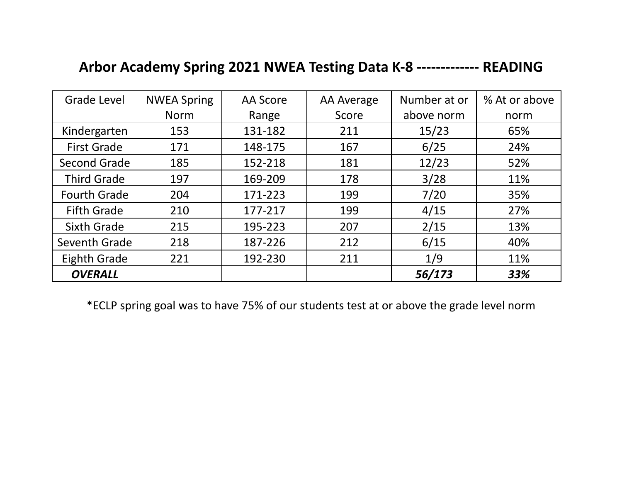## **Arbor Academy Spring 2021 NWEA Testing Data K-8 ------------- READING**

| <b>Grade Level</b>  | <b>NWEA Spring</b> | AA Score | AA Average | Number at or | % At or above |
|---------------------|--------------------|----------|------------|--------------|---------------|
|                     | <b>Norm</b>        | Range    | Score      | above norm   | norm          |
| Kindergarten<br>153 |                    | 131-182  | 211        | 15/23        | 65%           |
| <b>First Grade</b>  | 171                | 148-175  | 167        | 6/25         | 24%           |
| Second Grade        | 185                | 152-218  | 181        | 12/23        | 52%           |
| <b>Third Grade</b>  | 197                | 169-209  | 178        | 3/28         | 11%           |
| <b>Fourth Grade</b> | 204                | 171-223  | 199        | 7/20         | 35%           |
| <b>Fifth Grade</b>  | 210                | 177-217  | 199        | 4/15         | 27%           |
| <b>Sixth Grade</b>  | 215                | 195-223  | 207        | 2/15         | 13%           |
| Seventh Grade       | 218                | 187-226  | 212        | 6/15         | 40%           |
| Eighth Grade        | 221                |          | 211        | 1/9          | 11%           |
| <b>OVERALL</b>      |                    |          |            | 56/173       | 33%           |

\*ECLP spring goal was to have 75% of our students test at or above the grade level norm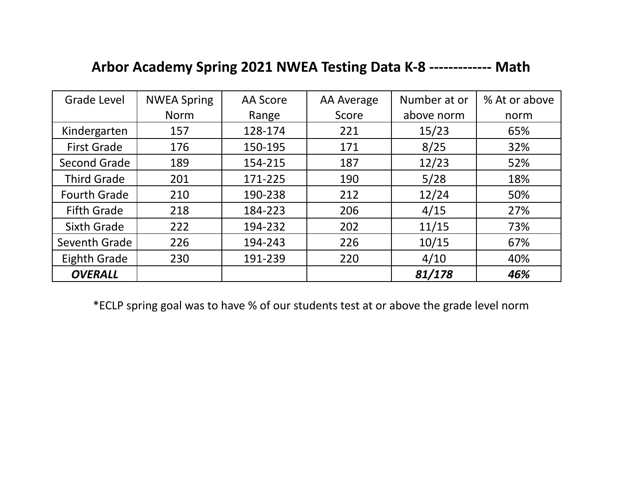## **Arbor Academy Spring 2021 NWEA Testing Data K-8 ------------- Math**

| Grade Level         | <b>NWEA Spring</b> | AA Score | AA Average | Number at or | % At or above |
|---------------------|--------------------|----------|------------|--------------|---------------|
|                     | <b>Norm</b>        | Range    | Score      | above norm   | norm          |
| Kindergarten        | 157                | 128-174  | 221        | 15/23        | 65%           |
| <b>First Grade</b>  | 176                | 150-195  | 171        | 8/25         | 32%           |
| Second Grade        | 189                | 154-215  | 187        | 12/23        | 52%           |
| <b>Third Grade</b>  | 201                | 171-225  | 190        | 5/28         | 18%           |
| <b>Fourth Grade</b> | 210                | 190-238  | 212        | 12/24        | 50%           |
| <b>Fifth Grade</b>  | 218                | 184-223  | 206        | 4/15         | 27%           |
| <b>Sixth Grade</b>  | 222                | 194-232  | 202        | 11/15        | 73%           |
| Seventh Grade       | 226                | 194-243  | 226        | 10/15        | 67%           |
| Eighth Grade        | 230                |          | 220        | 4/10         | 40%           |
| <b>OVERALL</b>      |                    |          |            | 81/178       | 46%           |

\*ECLP spring goal was to have % of our students test at or above the grade level norm